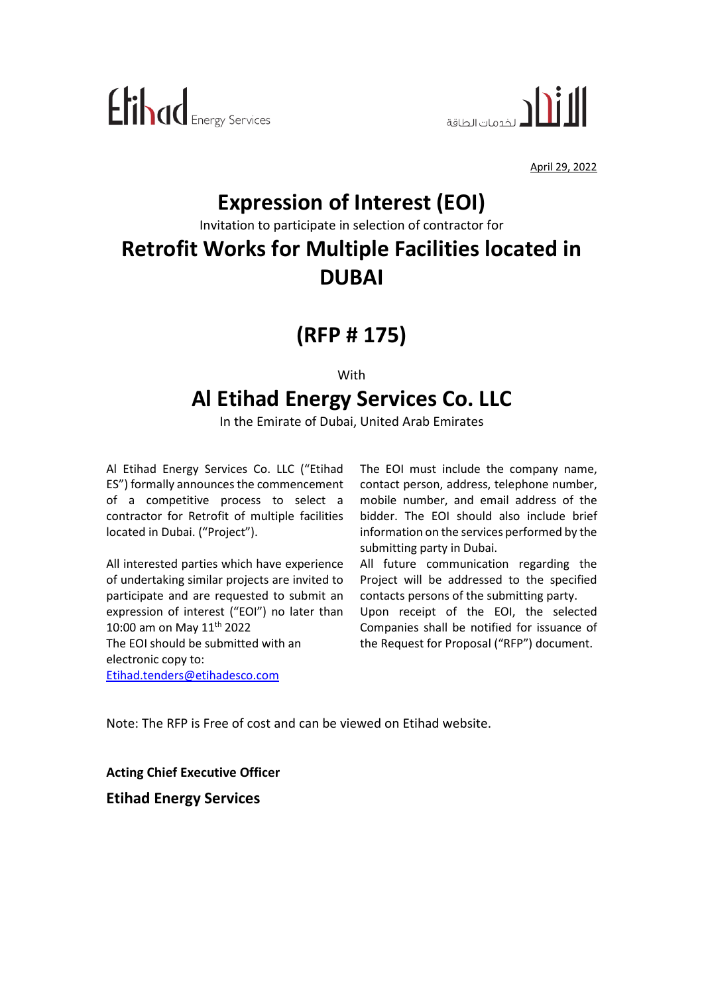



April 29, 2022

## **Expression of Interest (EOI)**

Invitation to participate in selection of contractor for

## **Retrofit Works for Multiple Facilities located in DUBAI**

## **(RFP # 175)**

With

## **Al Etihad Energy Services Co. LLC**

In the Emirate of Dubai, United Arab Emirates

Al Etihad Energy Services Co. LLC ("Etihad ES") formally announces the commencement of a competitive process to select a contractor for Retrofit of multiple facilities located in Dubai. ("Project").

All interested parties which have experience of undertaking similar projects are invited to participate and are requested to submit an expression of interest ("EOI") no later than 10:00 am on May 11<sup>th</sup> 2022 The EOI should be submitted with an electronic copy to: [Etihad.tenders@etihadesco.com](mailto:Etihad.tenders@etihadesco.com)

The EOI must include the company name, contact person, address, telephone number, mobile number, and email address of the bidder. The EOI should also include brief information on the services performed by the submitting party in Dubai.

All future communication regarding the Project will be addressed to the specified contacts persons of the submitting party.

Upon receipt of the EOI, the selected Companies shall be notified for issuance of the Request for Proposal ("RFP") document.

Note: The RFP is Free of cost and can be viewed on Etihad website.

**Acting Chief Executive Officer Etihad Energy Services**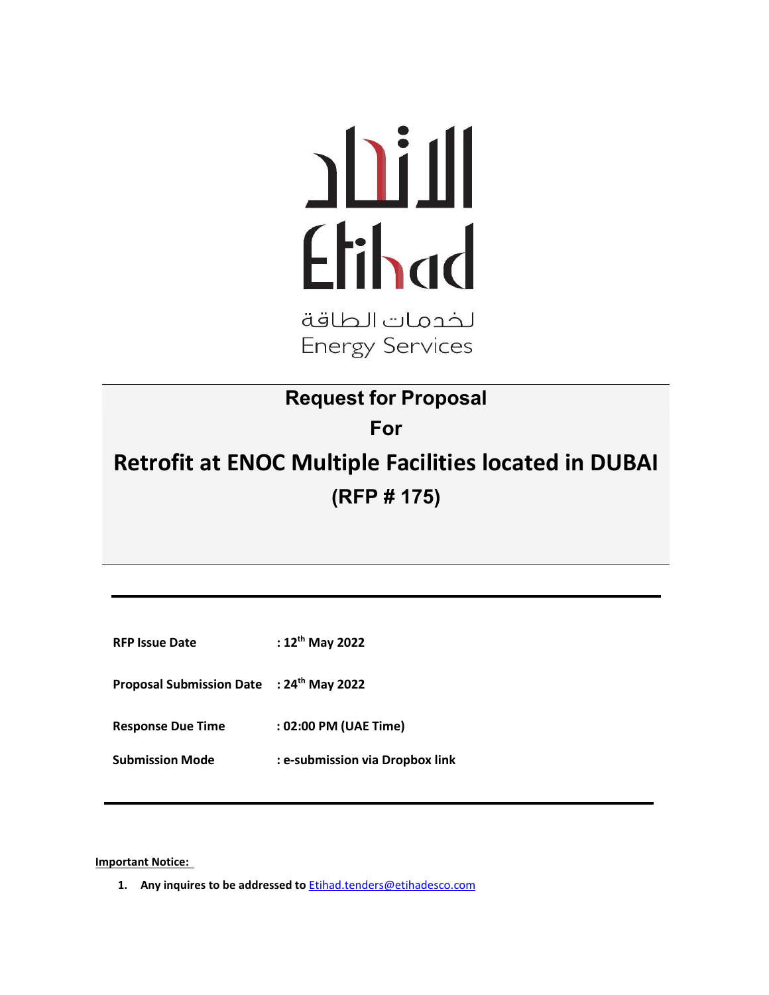# Etihad

لخدمات الطاقة **Energy Services** 

### **Request for Proposal**

**For**

## **Retrofit at ENOC Multiple Facilities located in DUBAI (RFP # 175)**

**RFP Issue Date : 12th May 2022**

**Proposal Submission Date : 24th May 2022**

**Response Due Time : 02:00 PM (UAE Time)**

**Submission Mode : e-submission via Dropbox link**

**Important Notice:** 

**1. Any inquires to be addressed to** [Etihad.tenders@etihadesco.com](mailto:Etihad.tenders@etihadesco.com)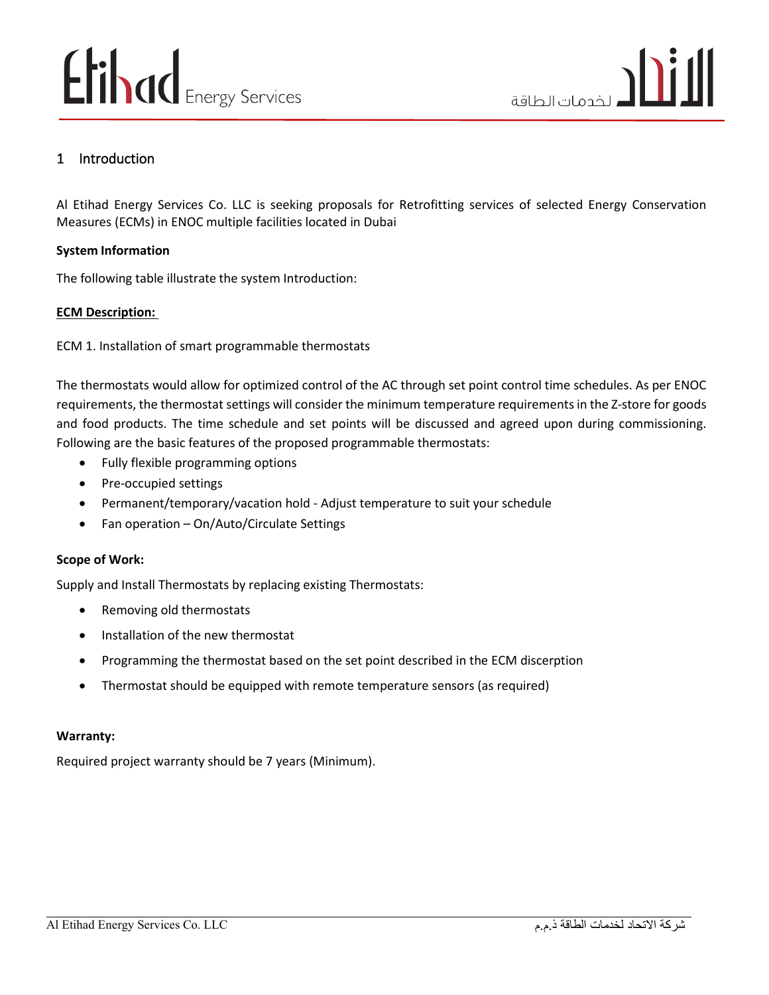#### 1 Introduction

Al Etihad Energy Services Co. LLC is seeking proposals for Retrofitting services of selected Energy Conservation Measures (ECMs) in ENOC multiple facilities located in Dubai

#### **System Information**

The following table illustrate the system Introduction:

#### **ECM Description:**

ECM 1. Installation of smart programmable thermostats

The thermostats would allow for optimized control of the AC through set point control time schedules. As per ENOC requirements, the thermostat settings will consider the minimum temperature requirements in the Z-store for goods and food products. The time schedule and set points will be discussed and agreed upon during commissioning. Following are the basic features of the proposed programmable thermostats:

- Fully flexible programming options
- Pre-occupied settings
- Permanent/temporary/vacation hold Adjust temperature to suit your schedule
- Fan operation On/Auto/Circulate Settings

#### **Scope of Work:**

Supply and Install Thermostats by replacing existing Thermostats:

- Removing old thermostats
- Installation of the new thermostat
- Programming the thermostat based on the set point described in the ECM discerption
- Thermostat should be equipped with remote temperature sensors (as required)

#### **Warranty:**

Required project warranty should be 7 years (Minimum).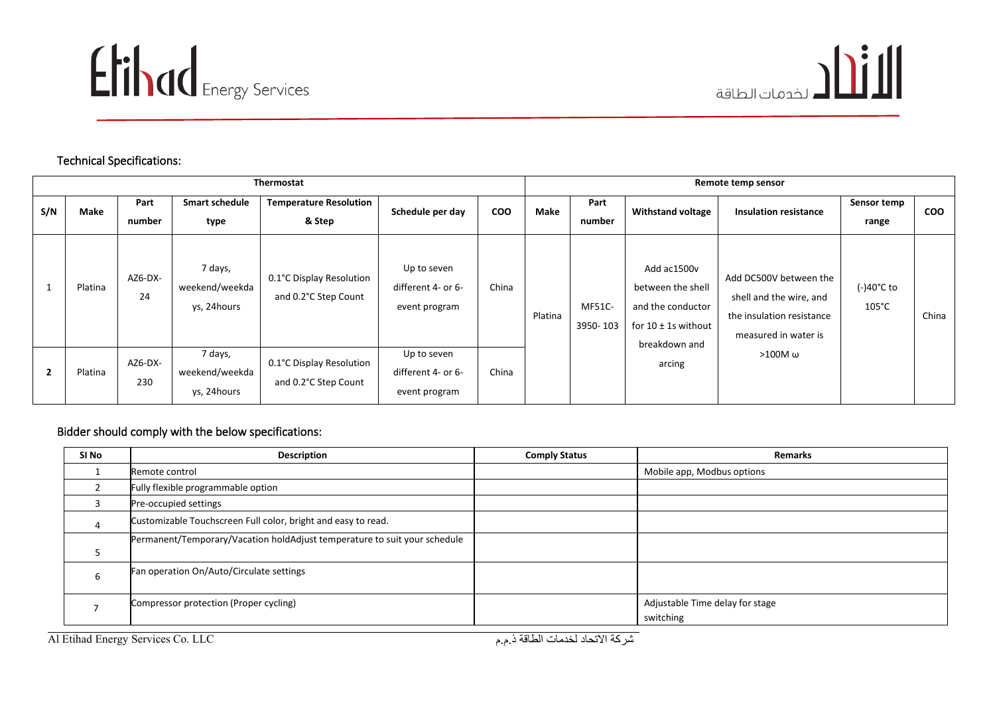



#### Technical Specifications:

|     | <b>Thermostat</b> |                |                                          |                                                  |                                                    |            | Remote temp sensor |                           |                                                                                                    |                                                                                                        |                               |            |
|-----|-------------------|----------------|------------------------------------------|--------------------------------------------------|----------------------------------------------------|------------|--------------------|---------------------------|----------------------------------------------------------------------------------------------------|--------------------------------------------------------------------------------------------------------|-------------------------------|------------|
| S/N | Make              | Part<br>number | <b>Smart schedule</b><br>type            | <b>Temperature Resolution</b><br>& Step          | Schedule per day                                   | <b>COO</b> | Make               | Part<br>number            | <b>Withstand voltage</b>                                                                           | <b>Insulation resistance</b>                                                                           | Sensor temp<br>range          | <b>COO</b> |
|     | Platina           | AZ6-DX-<br>24  | 7 days,<br>weekend/weekda<br>ys, 24hours | 0.1°C Display Resolution<br>and 0.2°C Step Count | Up to seven<br>different 4- or 6-<br>event program | China      | Platina            | <b>MF51C-</b><br>3950-103 | Add ac1500v<br>between the shell<br>and the conductor<br>for $10 \pm 1$ s without<br>breakdown and | Add DC500V between the<br>shell and the wire, and<br>the insulation resistance<br>measured in water is | (-)40°C to<br>$105^{\circ}$ C | China      |
|     | Platina           | AZ6-DX-<br>230 | 7 days,<br>weekend/weekda<br>ys, 24hours | 0.1°C Display Resolution<br>and 0.2°C Step Count | Up to seven<br>different 4- or 6-<br>event program | China      |                    |                           | arcing                                                                                             | >100M ω                                                                                                |                               |            |

#### Bidder should comply with the below specifications:

| SI No | <b>Description</b>                                                        | <b>Comply Status</b> | <b>Remarks</b>                               |
|-------|---------------------------------------------------------------------------|----------------------|----------------------------------------------|
|       | Remote control                                                            |                      | Mobile app, Modbus options                   |
|       | Fully flexible programmable option                                        |                      |                                              |
|       | Pre-occupied settings                                                     |                      |                                              |
| 4     | Customizable Touchscreen Full color, bright and easy to read.             |                      |                                              |
|       | Permanent/Temporary/Vacation holdAdjust temperature to suit your schedule |                      |                                              |
|       | Fan operation On/Auto/Circulate settings                                  |                      |                                              |
|       | Compressor protection (Proper cycling)                                    |                      | Adjustable Time delay for stage<br>switching |

شركة الاتحاد لخدمات الطاقة ذ.م.م هي Al Etihad Energy Services Co. LLC .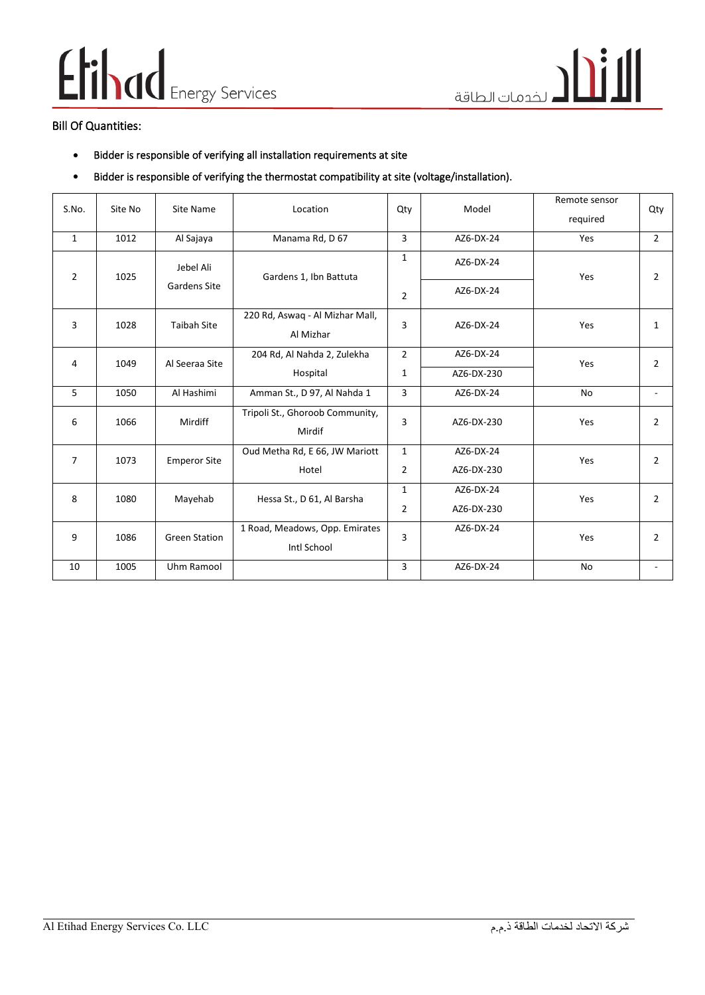## Elihad Energy Services

#### Bill Of Quantities:

- Bidder is responsible of verifying all installation requirements at site
- Bidder is responsible of verifying the thermostat compatibility at site (voltage/installation).

| S.No.          | Site No | Site Name            | Location                                      | Qty            | Model      | Remote sensor<br>required | Qty            |
|----------------|---------|----------------------|-----------------------------------------------|----------------|------------|---------------------------|----------------|
| $\mathbf{1}$   | 1012    | Al Sajaya            | Manama Rd, D 67                               | 3              | AZ6-DX-24  | Yes                       | $\overline{2}$ |
| $\overline{2}$ | 1025    | Jebel Ali            | Gardens 1, Ibn Battuta                        | $\mathbf{1}$   | AZ6-DX-24  | Yes                       | $\overline{2}$ |
|                |         | Gardens Site         |                                               | $\overline{2}$ | AZ6-DX-24  |                           |                |
| 3              | 1028    | <b>Taibah Site</b>   | 220 Rd, Aswaq - Al Mizhar Mall,<br>Al Mizhar  | 3              | AZ6-DX-24  | Yes                       | 1              |
| 4              | 1049    | Al Seeraa Site       | 204 Rd, Al Nahda 2, Zulekha                   | $\overline{2}$ | AZ6-DX-24  | Yes                       | $\overline{2}$ |
|                |         | Hospital             | 1                                             | AZ6-DX-230     |            |                           |                |
| 5              | 1050    | Al Hashimi           | Amman St., D 97, Al Nahda 1                   | 3              | AZ6-DX-24  | No                        |                |
| 6              | 1066    | Mirdiff              | Tripoli St., Ghoroob Community,<br>Mirdif     | 3              | AZ6-DX-230 | Yes                       | $\overline{2}$ |
| $\overline{7}$ | 1073    | <b>Emperor Site</b>  | Oud Metha Rd, E 66, JW Mariott                | $\mathbf{1}$   | AZ6-DX-24  | Yes                       | $\overline{2}$ |
|                |         |                      | Hotel                                         | $\overline{2}$ | AZ6-DX-230 |                           |                |
| 8              | 1080    | Mayehab              | Hessa St., D 61, Al Barsha                    | 1              | AZ6-DX-24  | Yes                       | $\overline{2}$ |
|                |         |                      |                                               | $\overline{2}$ | AZ6-DX-230 |                           |                |
| 9              | 1086    | <b>Green Station</b> | 1 Road, Meadows, Opp. Emirates<br>Intl School | 3              | AZ6-DX-24  | Yes                       | $\overline{2}$ |
| 10             | 1005    | Uhm Ramool           |                                               | 3              | AZ6-DX-24  | <b>No</b>                 |                |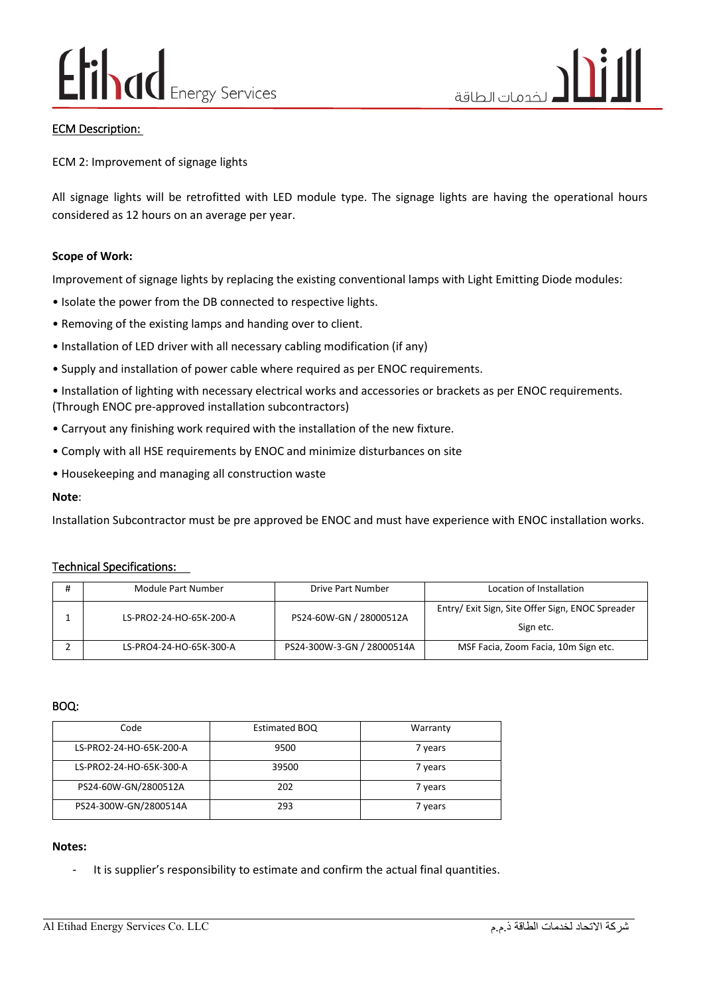#### ECM Description:

ECM 2: Improvement of signage lights

All signage lights will be retrofitted with LED module type. The signage lights are having the operational hours considered as 12 hours on an average per year.

#### **Scope of Work:**

Improvement of signage lights by replacing the existing conventional lamps with Light Emitting Diode modules:

- Isolate the power from the DB connected to respective lights.
- Removing of the existing lamps and handing over to client.
- Installation of LED driver with all necessary cabling modification (if any)
- Supply and installation of power cable where required as per ENOC requirements.

• Installation of lighting with necessary electrical works and accessories or brackets as per ENOC requirements. (Through ENOC pre-approved installation subcontractors)

- Carryout any finishing work required with the installation of the new fixture.
- Comply with all HSE requirements by ENOC and minimize disturbances on site
- Housekeeping and managing all construction waste

#### **Note**:

Installation Subcontractor must be pre approved be ENOC and must have experience with ENOC installation works.

#### Technical Specifications:

| Module Part Number      | Drive Part Number          | Location of Installation                                      |
|-------------------------|----------------------------|---------------------------------------------------------------|
| LS-PRO2-24-HO-65K-200-A | PS24-60W-GN / 28000512A    | Entry/ Exit Sign, Site Offer Sign, ENOC Spreader<br>Sign etc. |
| LS-PRO4-24-HO-65K-300-A | PS24-300W-3-GN / 28000514A | MSF Facia, Zoom Facia, 10m Sign etc.                          |

BOQ:

| Code                    | Estimated BOQ | Warranty |
|-------------------------|---------------|----------|
|                         |               |          |
| LS-PRO2-24-HO-65K-200-A | 9500          | 7 years  |
| LS-PRO2-24-HO-65K-300-A | 39500         | 7 years  |
| PS24-60W-GN/2800512A    | 202           | 7 years  |
| PS24-300W-GN/2800514A   | 293           | 7 years  |

#### **Notes:**

It is supplier's responsibility to estimate and confirm the actual final quantities.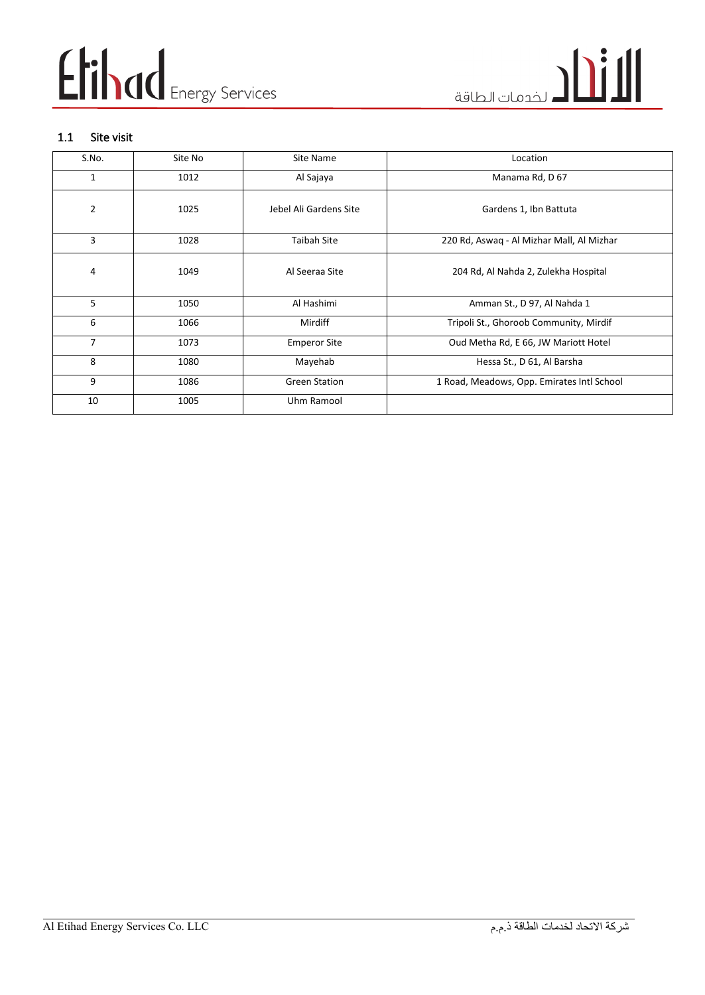#### 1.1 Site visit

| S.No.           | Site No | Site Name              | Location                                   |
|-----------------|---------|------------------------|--------------------------------------------|
| 1               | 1012    | Al Sajaya              | Manama Rd, D 67                            |
| $\overline{2}$  | 1025    | Jebel Ali Gardens Site | Gardens 1, Ibn Battuta                     |
| 3               | 1028    | <b>Taibah Site</b>     | 220 Rd, Aswaq - Al Mizhar Mall, Al Mizhar  |
| 4               | 1049    | Al Seeraa Site         | 204 Rd, Al Nahda 2, Zulekha Hospital       |
| $5\overline{)}$ | 1050    | Al Hashimi             | Amman St., D 97, Al Nahda 1                |
| 6               | 1066    | Mirdiff                | Tripoli St., Ghoroob Community, Mirdif     |
| 7               | 1073    | <b>Emperor Site</b>    | Oud Metha Rd, E 66, JW Mariott Hotel       |
| 8               | 1080    | Mayehab                | Hessa St., D 61, Al Barsha                 |
| 9               | 1086    | <b>Green Station</b>   | 1 Road, Meadows, Opp. Emirates Intl School |
| 10              | 1005    | Uhm Ramool             |                                            |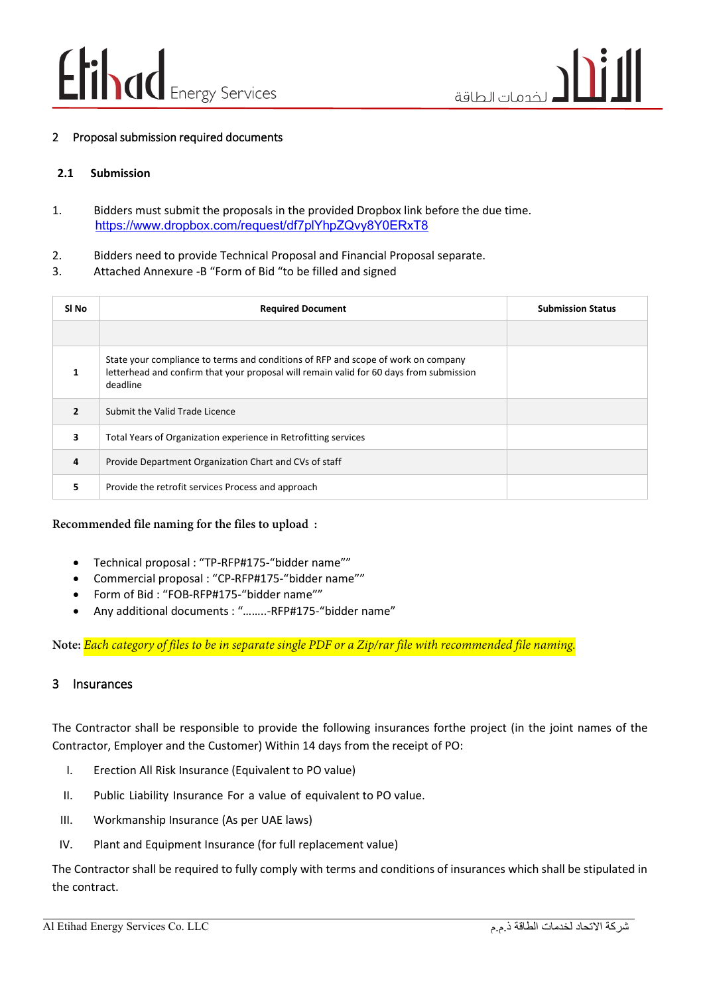#### 2 Proposal submission required documents

#### **2.1 Submission**

- 1. Bidders must submit the proposals in the provided Dropbox link before the due time. <https://www.dropbox.com/request/df7plYhpZQvy8Y0ERxT8>
- 2. Bidders need to provide Technical Proposal and Financial Proposal separate.
- 3. Attached Annexure -B "Form of Bid "to be filled and signed

| SI No                    | <b>Required Document</b>                                                                                                                                                                 | <b>Submission Status</b> |
|--------------------------|------------------------------------------------------------------------------------------------------------------------------------------------------------------------------------------|--------------------------|
|                          |                                                                                                                                                                                          |                          |
|                          | State your compliance to terms and conditions of RFP and scope of work on company<br>letterhead and confirm that your proposal will remain valid for 60 days from submission<br>deadline |                          |
| $\overline{\phantom{a}}$ | Submit the Valid Trade Licence                                                                                                                                                           |                          |
| 3                        | Total Years of Organization experience in Retrofitting services                                                                                                                          |                          |
| 4                        | Provide Department Organization Chart and CVs of staff                                                                                                                                   |                          |
| 5                        | Provide the retrofit services Process and approach                                                                                                                                       |                          |

#### **Recommended file naming for the files to upload :**

- Technical proposal : "TP-RFP#175-"bidder name""
- Commercial proposal : "CP-RFP#175-"bidder name""
- Form of Bid : "FOB-RFP#175-"bidder name""
- Any additional documents : "……..-RFP#175-"bidder name"

**Note:** *Each category of files to be in separate single PDF or a Zip/rar file with recommended file naming.*

#### 3 Insurances

The Contractor shall be responsible to provide the following insurances forthe project (in the joint names of the Contractor, Employer and the Customer) Within 14 days from the receipt of PO:

- I. Erection All Risk Insurance (Equivalent to PO value)
- II. Public Liability Insurance For a value of equivalent to PO value.
- III. Workmanship Insurance (As per UAE laws)
- IV. Plant and Equipment Insurance (for full replacement value)

The Contractor shall be required to fully comply with terms and conditions of insurances which shall be stipulated in the contract.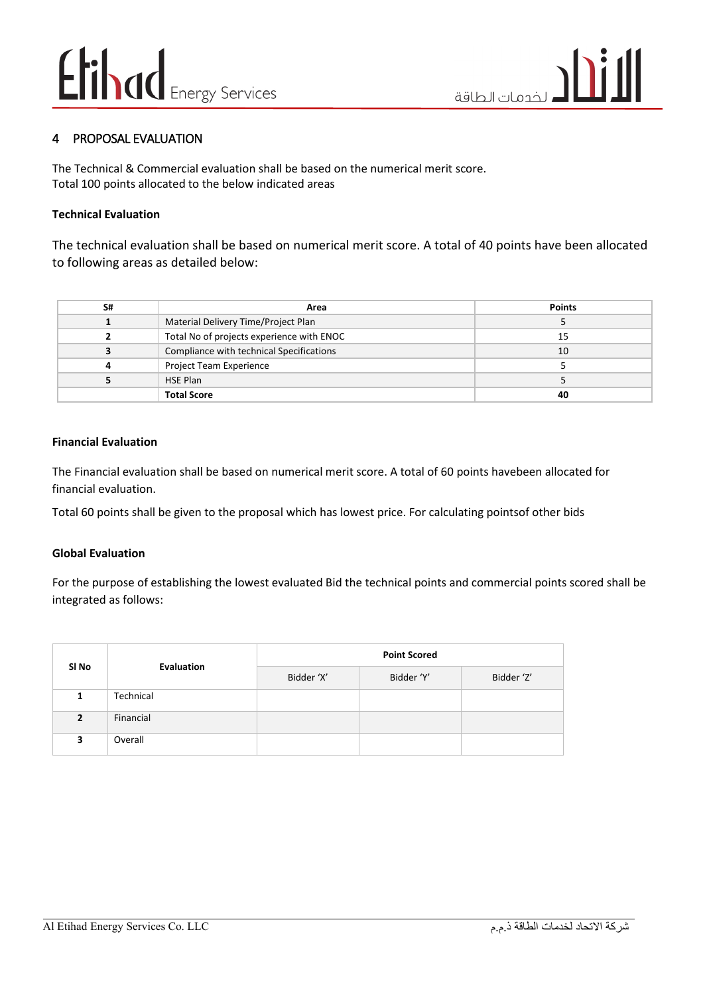#### 4 PROPOSAL EVALUATION

The Technical & Commercial evaluation shall be based on the numerical merit score. Total 100 points allocated to the below indicated areas

#### **Technical Evaluation**

The technical evaluation shall be based on numerical merit score. A total of 40 points have been allocated to following areas as detailed below:

| S# | Area                                      | <b>Points</b> |
|----|-------------------------------------------|---------------|
|    | Material Delivery Time/Project Plan       |               |
|    | Total No of projects experience with ENOC | 15            |
|    | Compliance with technical Specifications  | 10            |
| 4  | Project Team Experience                   |               |
|    | <b>HSE Plan</b>                           |               |
|    | <b>Total Score</b>                        | 40            |

#### **Financial Evaluation**

The Financial evaluation shall be based on numerical merit score. A total of 60 points havebeen allocated for financial evaluation.

Total 60 points shall be given to the proposal which has lowest price. For calculating pointsof other bids

#### **Global Evaluation**

For the purpose of establishing the lowest evaluated Bid the technical points and commercial points scored shall be integrated as follows:

|                |            | <b>Point Scored</b> |            |            |
|----------------|------------|---------------------|------------|------------|
| SI No          | Evaluation | Bidder 'X'          | Bidder 'Y' | Bidder 'Z' |
|                | Technical  |                     |            |            |
| $\overline{2}$ | Financial  |                     |            |            |
| 3              | Overall    |                     |            |            |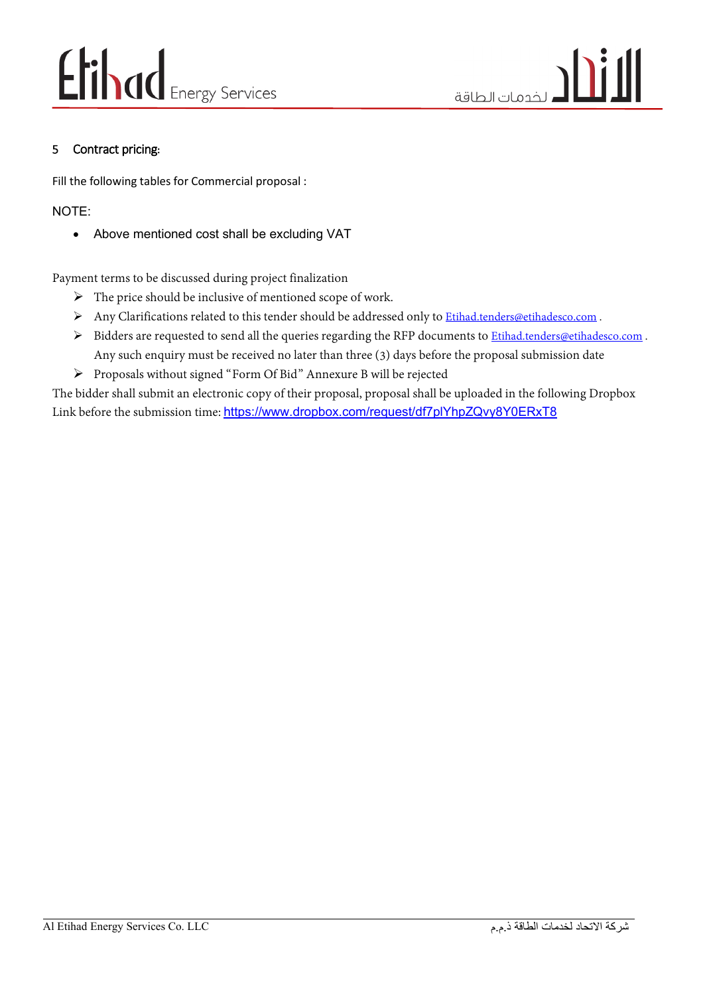#### 5 Contract pricing**:**

Fill the following tables for Commercial proposal :

#### NOTE:

• Above mentioned cost shall be excluding VAT

Payment terms to be discussed during project finalization

- $\triangleright$  The price should be inclusive of mentioned scope of work.
- Any Clarifications related to this tender should be addressed only to *[Etihad.tenders@etihadesco.com](mailto:Etihad.tenders@etihadesco.com)*.
- Bidders are requested to send all the queries regarding the RFP documents to *Etihad.tenders@etihadesco.com*. Any such enquiry must be received no later than three (3) days before the proposal submission date
- Proposals without signed "Form Of Bid" Annexure B will be rejected

The bidder shall submit an electronic copy of their proposal, proposal shall be uploaded in the following Dropbox Link before the submission time: [https://www.dropbox.com/request/df7plYhpZQvy8Y0ERxT8](https://are01.safelinks.protection.outlook.com/?url=https%3A%2F%2Fwww.dropbox.com%2Frequest%2Fdf7plYhpZQvy8Y0ERxT8&data=05%7C01%7Cankit.sharma%40etihadesco.com%7C5551c5b122de477f7ca308da324d91ef%7Ce50ca26517db4d3cb9cfc02787af136b%7C0%7C0%7C637877605981214562%7CUnknown%7CTWFpbGZsb3d8eyJWIjoiMC4wLjAwMDAiLCJQIjoiV2luMzIiLCJBTiI6Ik1haWwiLCJXVCI6Mn0%3D%7C3000%7C%7C%7C&sdata=xfJy8qM1e2a5Yzd8IUJNRi0VJgsolrRyR8C1jpyt7vM%3D&reserved=0)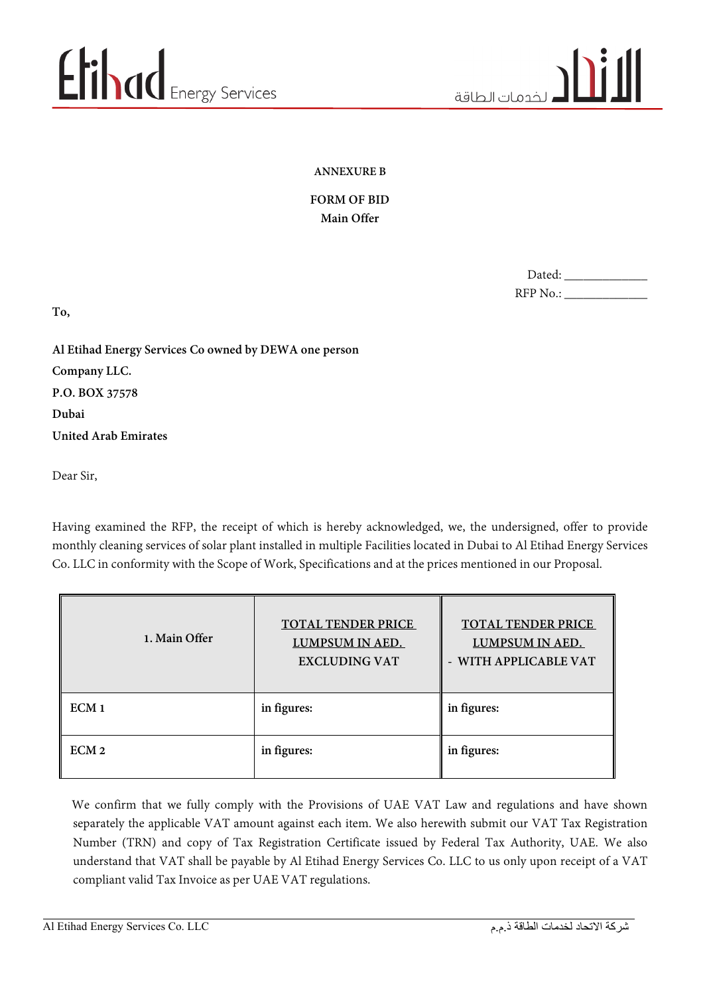#### **ANNEXURE B**

#### **FORM OF BID Main Offer**

| Dated:   |  |
|----------|--|
| RFP No.: |  |

**To,**

**Al Etihad Energy Services Co owned by DEWA one person Company LLC. P.O. BOX 37578 Dubai United Arab Emirates**

Dear Sir,

Having examined the RFP, the receipt of which is hereby acknowledged, we, the undersigned, offer to provide monthly cleaning services of solar plant installed in multiple Facilities located in Dubai to Al Etihad Energy Services Co. LLC in conformity with the Scope of Work, Specifications and at the prices mentioned in our Proposal.

| 1. Main Offer    | <b>TOTAL TENDER PRICE</b><br><b>LUMPSUM IN AED.</b><br><b>EXCLUDING VAT</b> | <b>TOTAL TENDER PRICE</b><br>LUMPSUM IN AED.<br>- WITH APPLICABLE VAT |
|------------------|-----------------------------------------------------------------------------|-----------------------------------------------------------------------|
| ECM <sub>1</sub> | in figures:                                                                 | in figures:                                                           |
| ECM <sub>2</sub> | in figures:                                                                 | in figures:                                                           |

 We confirm that we fully comply with the Provisions of UAE VAT Law and regulations and have shown separately the applicable VAT amount against each item. We also herewith submit our VAT Tax Registration Number (TRN) and copy of Tax Registration Certificate issued by Federal Tax Authority, UAE. We also understand that VAT shall be payable by Al Etihad Energy Services Co. LLC to us only upon receipt of a VAT compliant valid Tax Invoice as per UAE VAT regulations.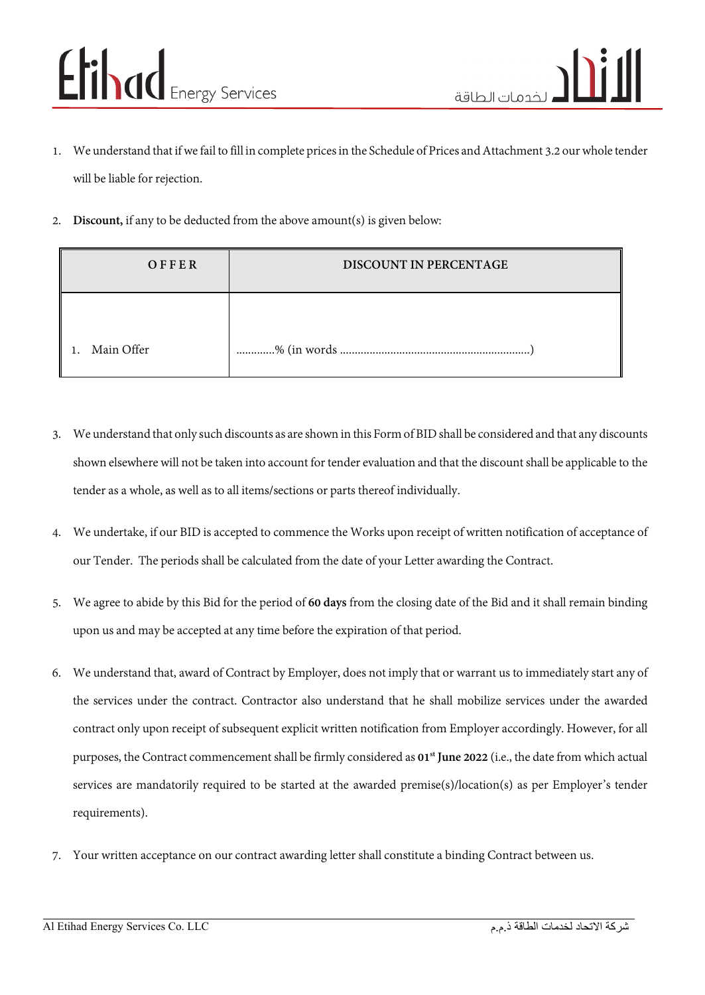- 1. We understand that if we fail to fill in complete prices in the Schedule of Prices and Attachment 3.2 our whole tender will be liable for rejection.
- 2. **Discount,** if any to be deducted from the above amount(s) is given below:

| OFFER      | DISCOUNT IN PERCENTAGE |
|------------|------------------------|
|            |                        |
| Main Offer |                        |

- 3. We understand that only such discounts as are shown in this Form of BID shall be considered and that any discounts shown elsewhere will not be taken into account for tender evaluation and that the discount shall be applicable to the tender as a whole, as well as to all items/sections or parts thereof individually.
- 4. We undertake, if our BID is accepted to commence the Works upon receipt of written notification of acceptance of our Tender. The periods shall be calculated from the date of your Letter awarding the Contract.
- 5. We agree to abide by this Bid for the period of **60 days** from the closing date of the Bid and it shall remain binding upon us and may be accepted at any time before the expiration of that period.
- 6. We understand that, award of Contract by Employer, does not imply that or warrant us to immediately start any of the services under the contract. Contractor also understand that he shall mobilize services under the awarded contract only upon receipt of subsequent explicit written notification from Employer accordingly. However, for all purposes, the Contract commencement shall be firmly considered as **01st June 2022** (i.e., the date from which actual services are mandatorily required to be started at the awarded premise(s)/location(s) as per Employer's tender requirements).
- 7. Your written acceptance on our contract awarding letter shall constitute a binding Contract between us.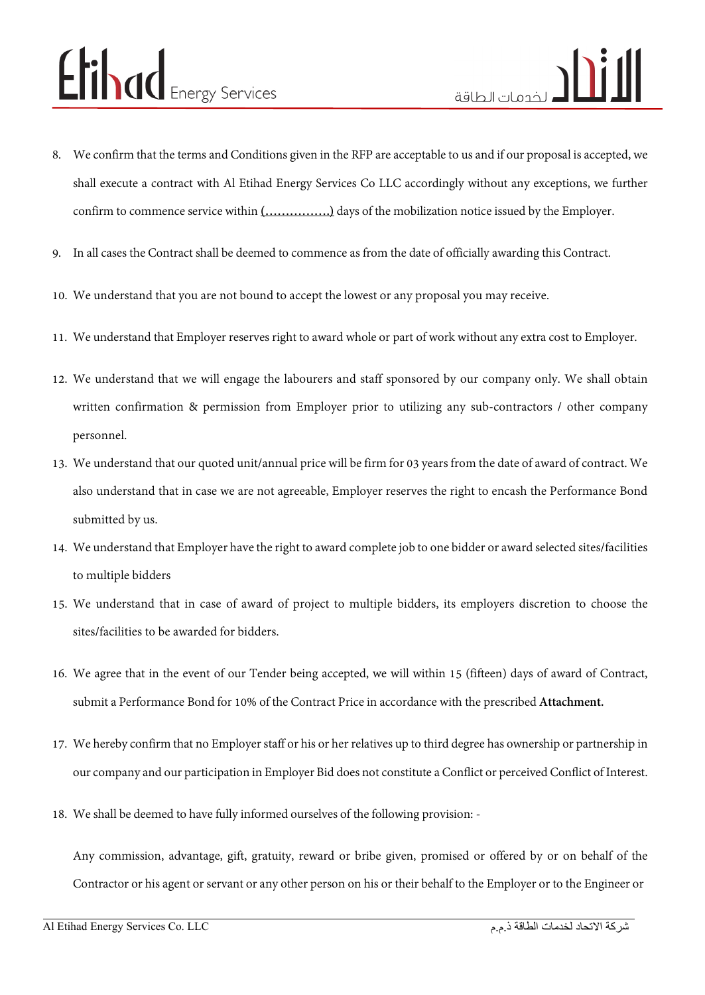- 8. We confirm that the terms and Conditions given in the RFP are acceptable to us and if our proposal is accepted, we shall execute a contract with Al Etihad Energy Services Co LLC accordingly without any exceptions, we further confirm to commence service within **(…………….)** days of the mobilization notice issued by the Employer.
- 9. In all cases the Contract shall be deemed to commence as from the date of officially awarding this Contract.
- 10. We understand that you are not bound to accept the lowest or any proposal you may receive.
- 11. We understand that Employer reserves right to award whole or part of work without any extra cost to Employer.
- 12. We understand that we will engage the labourers and staff sponsored by our company only. We shall obtain written confirmation & permission from Employer prior to utilizing any sub-contractors / other company personnel.
- 13. We understand that our quoted unit/annual price will be firm for 03 years from the date of award of contract. We also understand that in case we are not agreeable, Employer reserves the right to encash the Performance Bond submitted by us.
- 14. We understand that Employer have the right to award complete job to one bidder or award selected sites/facilities to multiple bidders
- 15. We understand that in case of award of project to multiple bidders, its employers discretion to choose the sites/facilities to be awarded for bidders.
- 16. We agree that in the event of our Tender being accepted, we will within 15 (fifteen) days of award of Contract, submit a Performance Bond for 10% of the Contract Price in accordance with the prescribed **Attachment.**
- 17. We hereby confirm that no Employer staff or his or her relatives up to third degree has ownership or partnership in our company and our participation in Employer Bid does not constitute a Conflict or perceived Conflict of Interest.
- 18. We shall be deemed to have fully informed ourselves of the following provision: -

Any commission, advantage, gift, gratuity, reward or bribe given, promised or offered by or on behalf of the Contractor or his agent or servant or any other person on his or their behalf to the Employer or to the Engineer or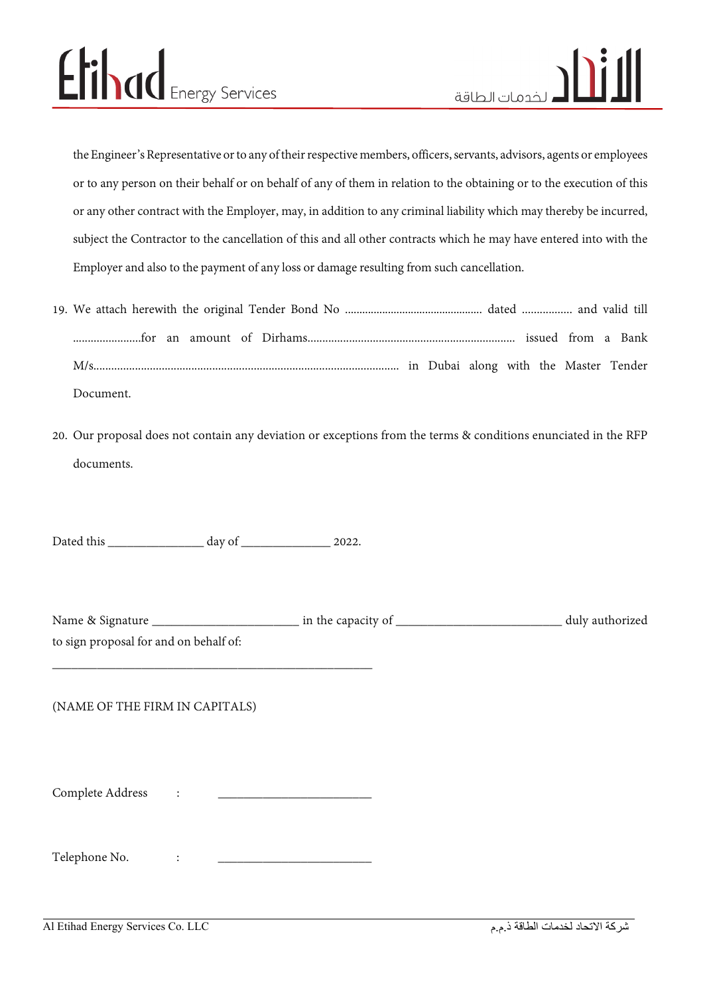the Engineer's Representative or to any of their respective members, officers, servants, advisors, agents or employees or to any person on their behalf or on behalf of any of them in relation to the obtaining or to the execution of this or any other contract with the Employer, may, in addition to any criminal liability which may thereby be incurred, subject the Contractor to the cancellation of this and all other contracts which he may have entered into with the Employer and also to the payment of any loss or damage resulting from such cancellation.

- 19. We attach herewith the original Tender Bond No ................................................ dated ................. and valid till .......................for an amount of Dirhams...................................................................... issued from a Bank M/s....................................................................................................... in Dubai along with the Master Tender Document.
- 20. Our proposal does not contain any deviation or exceptions from the terms & conditions enunciated in the RFP documents.

Dated this \_\_\_\_\_\_\_\_\_\_\_\_\_\_\_ day of \_\_\_\_\_\_\_\_\_\_\_\_\_\_ 2022.

| Name & Signature                       | in the capacity of | duly authorized |
|----------------------------------------|--------------------|-----------------|
| to sign proposal for and on behalf of: |                    |                 |

#### (NAME OF THE FIRM IN CAPITALS)

Complete Address :

\_\_\_\_\_\_\_\_\_\_\_\_\_\_\_\_\_\_\_\_\_\_\_\_\_\_\_\_\_\_\_\_\_\_\_\_\_\_\_\_\_\_\_\_\_\_\_\_\_\_

Telephone No.  $\qquad \qquad :$